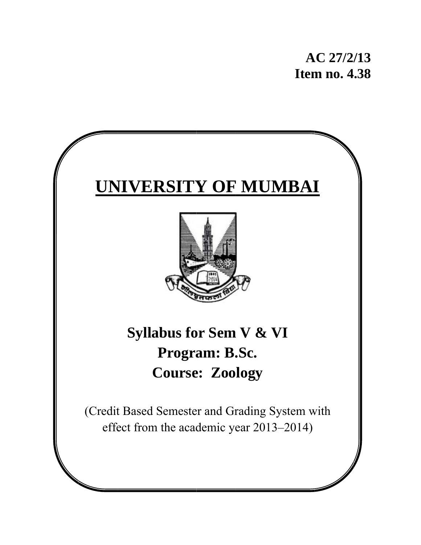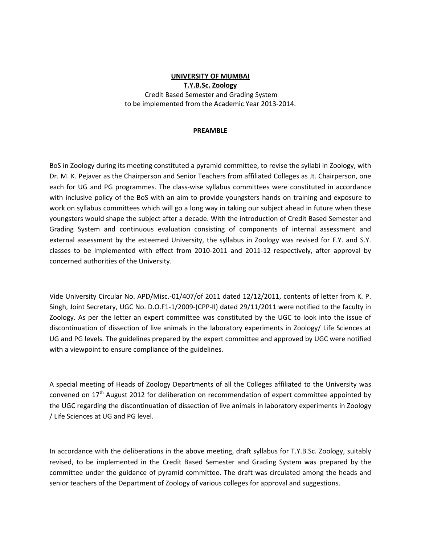### **UNIVERSITY OF MUMBAI T.Y.B.Sc. Zoology** Credit Based Semester and Grading System to be implemented from the Academic Year 2013‐2014.

### **PREAMBLE**

BoS in Zoology during its meeting constituted a pyramid committee, to revise the syllabi in Zoology, with Dr. M. K. Pejaver as the Chairperson and Senior Teachers from affiliated Colleges as Jt. Chairperson, one each for UG and PG programmes. The class-wise syllabus committees were constituted in accordance with inclusive policy of the BoS with an aim to provide youngsters hands on training and exposure to work on syllabus committees which will go a long way in taking our subject ahead in future when these youngsters would shape the subject after a decade. With the introduction of Credit Based Semester and Grading System and continuous evaluation consisting of components of internal assessment and external assessment by the esteemed University, the syllabus in Zoology was revised for F.Y. and S.Y. classes to be implemented with effect from 2010‐2011 and 2011‐12 respectively, after approval by concerned authorities of the University.

Vide University Circular No. APD/Misc.‐01/407/of 2011 dated 12/12/2011, contents of letter from K. P. Singh, Joint Secretary, UGC No. D.O.F1-1/2009-(CPP-II) dated 29/11/2011 were notified to the faculty in Zoology. As per the letter an expert committee was constituted by the UGC to look into the issue of discontinuation of dissection of live animals in the laboratory experiments in Zoology/ Life Sciences at UG and PG levels. The guidelines prepared by the expert committee and approved by UGC were notified with a viewpoint to ensure compliance of the guidelines.

A special meeting of Heads of Zoology Departments of all the Colleges affiliated to the University was convened on 17<sup>th</sup> August 2012 for deliberation on recommendation of expert committee appointed by the UGC regarding the discontinuation of dissection of live animals in laboratory experiments in Zoology / Life Sciences at UG and PG level.

In accordance with the deliberations in the above meeting, draft syllabus for T.Y.B.Sc. Zoology, suitably revised, to be implemented in the Credit Based Semester and Grading System was prepared by the committee under the guidance of pyramid committee. The draft was circulated among the heads and senior teachers of the Department of Zoology of various colleges for approval and suggestions.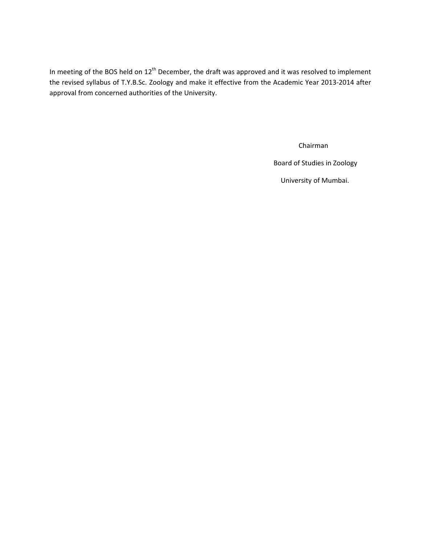In meeting of the BOS held on 12<sup>th</sup> December, the draft was approved and it was resolved to implement the revised syllabus of T.Y.B.Sc. Zoology and make it effective from the Academic Year 2013‐2014 after approval from concerned authorities of the University.

Chairman

Board of Studies in Zoology

University of Mumbai.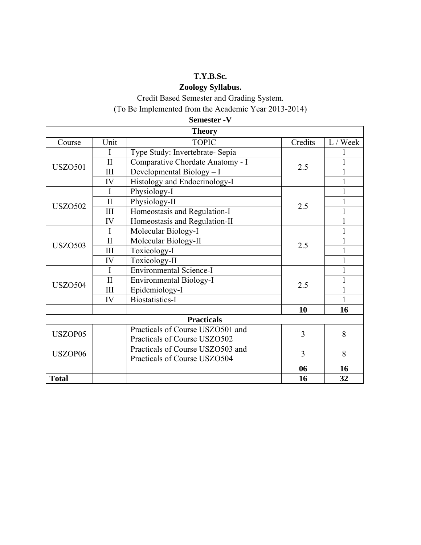## **T.Y.B.Sc.**

## **Zoology Syllabus.**

Credit Based Semester and Grading System.

(To Be Implemented from the Academic Year 2013-2014)

| <b>Semester - V</b> |  |
|---------------------|--|
|---------------------|--|

| <b>Theory</b>  |              |                                  |         |          |
|----------------|--------------|----------------------------------|---------|----------|
| Course         | Unit         | <b>TOPIC</b>                     | Credits | L / Week |
|                | I            | Type Study: Invertebrate- Sepia  |         |          |
| <b>USZO501</b> | $\mathbf{I}$ | Comparative Chordate Anatomy - I | 2.5     |          |
|                | III          | Developmental Biology - I        |         |          |
|                | IV           | Histology and Endocrinology-I    |         |          |
|                | $\mathbf I$  | Physiology-I                     |         |          |
| <b>USZO502</b> | $\mathbf{I}$ | Physiology-II                    | 2.5     |          |
|                | III          | Homeostasis and Regulation-I     |         |          |
|                | IV           | Homeostasis and Regulation-II    |         |          |
|                | I            | Molecular Biology-I              |         |          |
| <b>USZO503</b> | $\mathbf{I}$ | Molecular Biology-II             | 2.5     |          |
|                | III          | Toxicology-I                     |         |          |
|                | IV           | Toxicology-II                    |         |          |
|                | I            | <b>Environmental Science-I</b>   |         |          |
| <b>USZO504</b> | $\mathbf{I}$ | <b>Environmental Biology-I</b>   | 2.5     |          |
|                | III          | Epidemiology-I                   |         |          |
|                | IV           | <b>Biostatistics-I</b>           |         |          |
|                |              |                                  | 10      | 16       |
|                |              | <b>Practicals</b>                |         |          |
| USZOP05        |              | Practicals of Course USZO501 and | 3       | 8        |
|                |              | Practicals of Course USZO502     |         |          |
| USZOP06        |              | Practicals of Course USZO503 and | 3       | 8        |
|                |              | Practicals of Course USZO504     |         |          |
|                |              |                                  | 06      | 16       |
| <b>Total</b>   |              |                                  | 16      | 32       |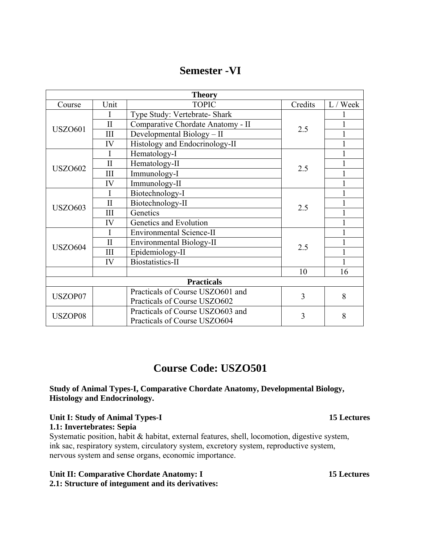## **Semester -VI**

| <b>Theory</b>     |                  |                                   |         |          |
|-------------------|------------------|-----------------------------------|---------|----------|
| Course            | Unit             | <b>TOPIC</b>                      | Credits | L / Week |
|                   | I                | Type Study: Vertebrate- Shark     |         |          |
| <b>USZO601</b>    | $\mathbf{I}$     | Comparative Chordate Anatomy - II | 2.5     |          |
|                   | III              | Developmental Biology - II        |         |          |
|                   | IV               | Histology and Endocrinology-II    |         |          |
|                   |                  | Hematology-I                      |         |          |
| <b>USZO602</b>    | $\overline{\Pi}$ | Hematology-II                     | 2.5     |          |
|                   | III              | Immunology-I                      |         |          |
|                   | IV               | Immunology-II                     |         |          |
|                   | I                | Biotechnology-I                   |         |          |
| <b>USZ0603</b>    | $\overline{\Pi}$ | Biotechnology-II                  | 2.5     |          |
|                   | III              | Genetics                          |         |          |
|                   | IV               | Genetics and Evolution            |         |          |
|                   |                  | <b>Environmental Science-II</b>   |         |          |
| <b>USZO604</b>    | $\overline{\Pi}$ | <b>Environmental Biology-II</b>   | 2.5     |          |
|                   | III              | Epidemiology-II                   |         |          |
|                   | IV               | <b>Biostatistics-II</b>           |         |          |
|                   |                  |                                   | 10      | 16       |
| <b>Practicals</b> |                  |                                   |         |          |
| USZOP07           |                  | Practicals of Course USZO601 and  | 3       | 8        |
|                   |                  | Practicals of Course USZO602      |         |          |
| USZOP08           |                  | Practicals of Course USZO603 and  | 3       | 8        |
|                   |                  | Practicals of Course USZO604      |         |          |

## **Course Code: USZO501**

## **Study of Animal Types-I, Comparative Chordate Anatomy, Developmental Biology, Histology and Endocrinology.**

## **Unit I: Study of Animal Types-I 15 Lectures**

### **1.1: Invertebrates: Sepia**

Systematic position, habit & habitat, external features, shell, locomotion, digestive system, ink sac, respiratory system, circulatory system, excretory system, reproductive system, nervous system and sense organs, economic importance.

## **Unit II: Comparative Chordate Anatomy: I 15 Lectures**

**2.1: Structure of integument and its derivatives:**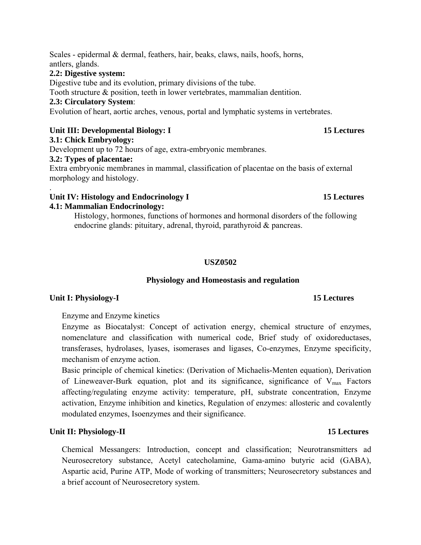## **2.2: Digestive system:**

Digestive tube and its evolution, primary divisions of the tube.

Tooth structure & position, teeth in lower vertebrates, mammalian dentition.

## **2.3: Circulatory System**:

Evolution of heart, aortic arches, venous, portal and lymphatic systems in vertebrates.

## Unit III: Developmental Biology: I 15 Lectures

## **3.1: Chick Embryology:**

Development up to 72 hours of age, extra-embryonic membranes.

## **3.2: Types of placentae:**

Extra embryonic membranes in mammal, classification of placentae on the basis of external morphology and histology.

### . Unit IV: Histology and Endocrinology I 15 Lectures **4.1: Mammalian Endocrinology:**

Histology, hormones, functions of hormones and hormonal disorders of the following endocrine glands: pituitary, adrenal, thyroid, parathyroid & pancreas.

## **USZ0502**

## **Physiology and Homeostasis and regulation**

## **Unit I: Physiology-I** 15 Lectures

## Enzyme and Enzyme kinetics

Enzyme as Biocatalyst: Concept of activation energy, chemical structure of enzymes, nomenclature and classification with numerical code, Brief study of oxidoreductases, transferases, hydrolases, lyases, isomerases and ligases, Co-enzymes, Enzyme specificity, mechanism of enzyme action.

Basic principle of chemical kinetics: (Derivation of Michaelis-Menten equation), Derivation of Lineweaver-Burk equation, plot and its significance, significance of  $V_{\text{max}}$  Factors affecting/regulating enzyme activity: temperature, pH, substrate concentration, Enzyme activation, Enzyme inhibition and kinetics, Regulation of enzymes: allosteric and covalently modulated enzymes, Isoenzymes and their significance.

## Unit II: Physiology-II 15 Lectures **15 Lectures**

Chemical Messangers: Introduction, concept and classification; Neurotransmitters ad Neurosecretory substance, Acetyl catecholamine, Gama-amino butyric acid (GABA), Aspartic acid, Purine ATP, Mode of working of transmitters; Neurosecretory substances and a brief account of Neurosecretory system.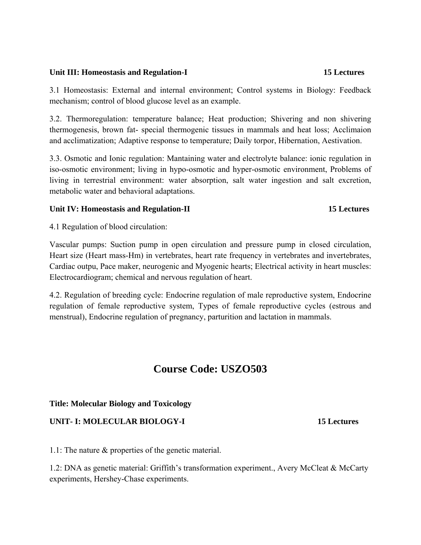### Unit III: Homeostasis and Regulation-I **15 Lectures 15 Lectures**

3.1 Homeostasis: External and internal environment; Control systems in Biology: Feedback mechanism; control of blood glucose level as an example.

3.2. Thermoregulation: temperature balance; Heat production; Shivering and non shivering thermogenesis, brown fat- special thermogenic tissues in mammals and heat loss; Acclimaion and acclimatization; Adaptive response to temperature; Daily torpor, Hibernation, Aestivation.

3.3. Osmotic and Ionic regulation: Mantaining water and electrolyte balance: ionic regulation in iso-osmotic environment; living in hypo-osmotic and hyper-osmotic environment, Problems of living in terrestrial environment: water absorption, salt water ingestion and salt excretion, metabolic water and behavioral adaptations.

### Unit IV: Homeostasis and Regulation-II 15 Lectures

4.1 Regulation of blood circulation:

Vascular pumps: Suction pump in open circulation and pressure pump in closed circulation, Heart size (Heart mass-Hm) in vertebrates, heart rate frequency in vertebrates and invertebrates, Cardiac outpu, Pace maker, neurogenic and Myogenic hearts; Electrical activity in heart muscles: Electrocardiogram; chemical and nervous regulation of heart.

4.2. Regulation of breeding cycle: Endocrine regulation of male reproductive system, Endocrine regulation of female reproductive system, Types of female reproductive cycles (estrous and menstrual), Endocrine regulation of pregnancy, parturition and lactation in mammals.

## **Course Code: USZO503**

### **Title: Molecular Biology and Toxicology**

### **UNIT- I: MOLECULAR BIOLOGY-I 15 Lectures**

1.1: The nature & properties of the genetic material.

1.2: DNA as genetic material: Griffith's transformation experiment., Avery McCleat & McCarty experiments, Hershey-Chase experiments.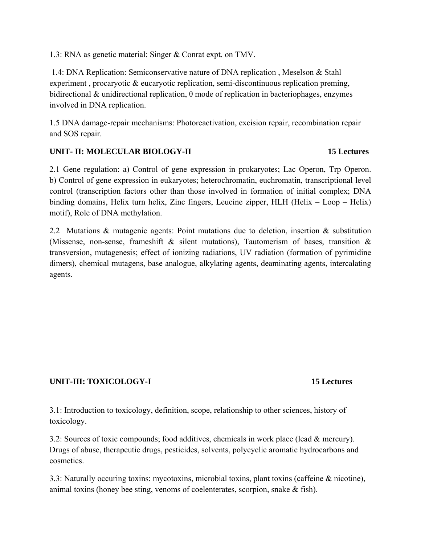1.3: RNA as genetic material: Singer & Conrat expt. on TMV.

 1.4: DNA Replication: Semiconservative nature of DNA replication , Meselson & Stahl experiment, procaryotic & eucaryotic replication, semi-discontinuous replication preming, bidirectional & unidirectional replication,  $\theta$  mode of replication in bacteriophages, enzymes involved in DNA replication.

1.5 DNA damage-repair mechanisms: Photoreactivation, excision repair, recombination repair and SOS repair.

## **UNIT- II: MOLECULAR BIOLOGY-II 15 Lectures**

2.1 Gene regulation: a) Control of gene expression in prokaryotes; Lac Operon, Trp Operon. b) Control of gene expression in eukaryotes; heterochromatin, euchromatin, transcriptional level control (transcription factors other than those involved in formation of initial complex; DNA binding domains, Helix turn helix, Zinc fingers, Leucine zipper, HLH (Helix – Loop – Helix) motif), Role of DNA methylation.

2.2 Mutations & mutagenic agents: Point mutations due to deletion, insertion & substitution (Missense, non-sense, frameshift  $\&$  silent mutations), Tautomerism of bases, transition  $\&$ transversion, mutagenesis; effect of ionizing radiations, UV radiation (formation of pyrimidine dimers), chemical mutagens, base analogue, alkylating agents, deaminating agents, intercalating agents.

## **UNIT-III: TOXICOLOGY-I** 15 Lectures

3.1: Introduction to toxicology, definition, scope, relationship to other sciences, history of toxicology.

3.2: Sources of toxic compounds; food additives, chemicals in work place (lead & mercury). Drugs of abuse, therapeutic drugs, pesticides, solvents, polycyclic aromatic hydrocarbons and cosmetics.

3.3: Naturally occuring toxins: mycotoxins, microbial toxins, plant toxins (caffeine & nicotine), animal toxins (honey bee sting, venoms of coelenterates, scorpion, snake & fish).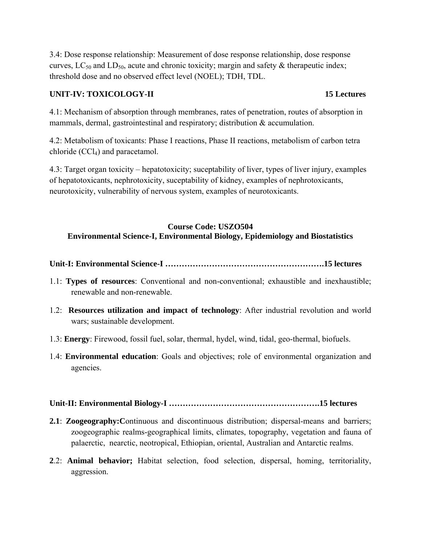3.4: Dose response relationship: Measurement of dose response relationship, dose response curves,  $LC_{50}$  and  $LD_{50}$ , acute and chronic toxicity; margin and safety & therapeutic index; threshold dose and no observed effect level (NOEL); TDH, TDL.

## **UNIT-IV: TOXICOLOGY-II** 15 Lectures

4.1: Mechanism of absorption through membranes, rates of penetration, routes of absorption in mammals, dermal, gastrointestinal and respiratory; distribution & accumulation.

4.2: Metabolism of toxicants: Phase I reactions, Phase II reactions, metabolism of carbon tetra chloride  $(CCl<sub>4</sub>)$  and paracetamol.

4.3: Target organ toxicity – hepatotoxicity; suceptability of liver, types of liver injury, examples of hepatotoxicants, nephrotoxicity, suceptability of kidney, examples of nephrotoxicants, neurotoxicity, vulnerability of nervous system, examples of neurotoxicants.

## **Course Code: USZO504 Environmental Science-I, Environmental Biology, Epidemiology and Biostatistics**

- **Unit-I: Environmental Science-I ………………………………………………….15 lectures**
- 1.1: **Types of resources**: Conventional and non-conventional; exhaustible and inexhaustible; renewable and non-renewable.
- 1.2: **Resources utilization and impact of technology**: After industrial revolution and world wars; sustainable development.
- 1.3: **Energy**: Firewood, fossil fuel, solar, thermal, hydel, wind, tidal, geo-thermal, biofuels.
- 1.4: **Environmental education**: Goals and objectives; role of environmental organization and agencies.

## **Unit-II: Environmental Biology-I ……………………………………………….15 lectures**

- **2.1**: **Zoogeography:C**ontinuous and discontinuous distribution; dispersal-means and barriers; zoogeographic realms-geographical limits, climates, topography, vegetation and fauna of palaerctic, nearctic, neotropical, Ethiopian, oriental, Australian and Antarctic realms.
- **2**.2: **Animal behavior;** Habitat selection, food selection, dispersal, homing, territoriality, aggression.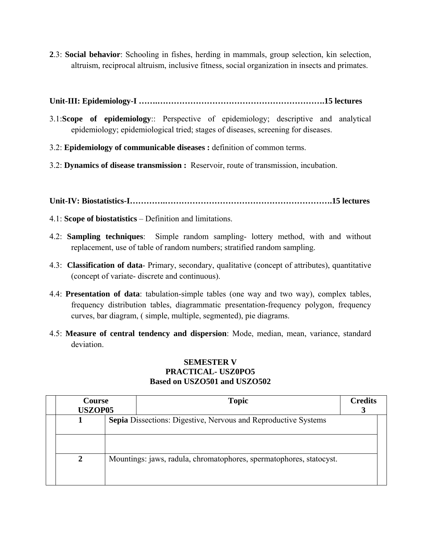**2**.3: **Social behavior**: Schooling in fishes, herding in mammals, group selection, kin selection, altruism, reciprocal altruism, inclusive fitness, social organization in insects and primates.

## **Unit-III: Epidemiology-I …….…………………………………………………….15 lectures**

- 3.1:**Scope of epidemiology**:: Perspective of epidemiology; descriptive and analytical epidemiology; epidemiological tried; stages of diseases, screening for diseases.
- 3.2: **Epidemiology of communicable diseases :** definition of common terms.
- 3.2: **Dynamics of disease transmission :** Reservoir, route of transmission, incubation.

**Unit-IV: Biostatistics-I………….…………………………………………………….15 lectures** 

- 4.1: **Scope of biostatistics** Definition and limitations.
- 4.2: **Sampling techniques**: Simple random sampling- lottery method, with and without replacement, use of table of random numbers; stratified random sampling.
- 4.3: **Classification of data** Primary, secondary, qualitative (concept of attributes), quantitative (concept of variate- discrete and continuous).
- 4.4: **Presentation of data**: tabulation-simple tables (one way and two way), complex tables, frequency distribution tables, diagrammatic presentation-frequency polygon, frequency curves, bar diagram, ( simple, multiple, segmented), pie diagrams.
- 4.5: **Measure of central tendency and dispersion**: Mode, median, mean, variance, standard deviation.

## **SEMESTER V PRACTICAL- USZ0PO5 Based on USZO501 and USZO502**

| Course<br><b>USZOP05</b> |  | <b>Topic</b>                                                          | <b>Credits</b> |
|--------------------------|--|-----------------------------------------------------------------------|----------------|
|                          |  | <b>Sepia</b> Dissections: Digestive, Nervous and Reproductive Systems |                |
| $\mathbf{2}$             |  | Mountings: jaws, radula, chromatophores, spermatophores, statocyst.   |                |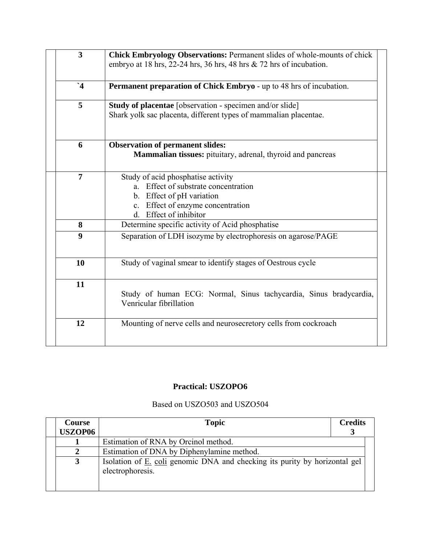| <b>Chick Embryology Observations: Permanent slides of whole-mounts of chick</b><br>embryo at 18 hrs, 22-24 hrs, 36 hrs, 48 hrs $\&$ 72 hrs of incubation.              |
|------------------------------------------------------------------------------------------------------------------------------------------------------------------------|
| Permanent preparation of Chick Embryo - up to 48 hrs of incubation.                                                                                                    |
| Study of placentae [observation - specimen and/or slide]<br>Shark yolk sac placenta, different types of mammalian placentae.                                           |
| <b>Observation of permanent slides:</b><br><b>Mammalian tissues:</b> pituitary, adrenal, thyroid and pancreas                                                          |
| Study of acid phosphatise activity<br>a. Effect of substrate concentration<br>b. Effect of pH variation<br>c. Effect of enzyme concentration<br>d. Effect of inhibitor |
| Determine specific activity of Acid phosphatise                                                                                                                        |
| Separation of LDH isozyme by electrophoresis on agarose/PAGE                                                                                                           |
| Study of vaginal smear to identify stages of Oestrous cycle                                                                                                            |
| Study of human ECG: Normal, Sinus tachycardia, Sinus bradycardia,<br>Venricular fibrillation                                                                           |
| Mounting of nerve cells and neurosecretory cells from cockroach                                                                                                        |
|                                                                                                                                                                        |

## **Practical: USZOPO6**

## Based on USZO503 and USZO504

| <b>Course</b><br><b>USZOP06</b> | <b>Topic</b>                                                                                          | <b>Credits</b> |
|---------------------------------|-------------------------------------------------------------------------------------------------------|----------------|
|                                 | Estimation of RNA by Orcinol method.                                                                  |                |
|                                 | Estimation of DNA by Diphenylamine method.                                                            |                |
| 3                               | Isolation of <u>E. coli</u> genomic DNA and checking its purity by horizontal gel<br>electrophoresis. |                |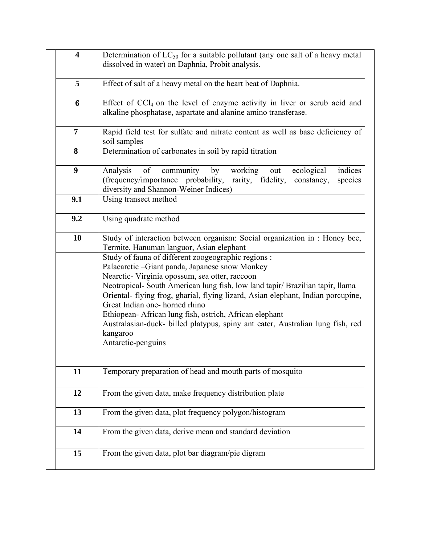|                                                              | $\overline{\mathbf{4}}$ | Determination of $LC_{50}$ for a suitable pollutant (any one salt of a heavy metal<br>dissolved in water) on Daphnia, Probit analysis.                                                                                                                                                                                                                                                                                                                                                                                                                                                                                                                                |
|--------------------------------------------------------------|-------------------------|-----------------------------------------------------------------------------------------------------------------------------------------------------------------------------------------------------------------------------------------------------------------------------------------------------------------------------------------------------------------------------------------------------------------------------------------------------------------------------------------------------------------------------------------------------------------------------------------------------------------------------------------------------------------------|
|                                                              | 5                       | Effect of salt of a heavy metal on the heart beat of Daphnia.                                                                                                                                                                                                                                                                                                                                                                                                                                                                                                                                                                                                         |
|                                                              | 6                       | Effect of $CCl4$ on the level of enzyme activity in liver or serub acid and<br>alkaline phosphatase, aspartate and alanine amino transferase.                                                                                                                                                                                                                                                                                                                                                                                                                                                                                                                         |
|                                                              | $\overline{7}$          | Rapid field test for sulfate and nitrate content as well as base deficiency of<br>soil samples                                                                                                                                                                                                                                                                                                                                                                                                                                                                                                                                                                        |
|                                                              | 8                       | Determination of carbonates in soil by rapid titration                                                                                                                                                                                                                                                                                                                                                                                                                                                                                                                                                                                                                |
|                                                              | $\boldsymbol{9}$        | of<br>ecological<br>community by<br>working<br>indices<br>Analysis<br>out<br>(frequency/importance probability,<br>rarity, fidelity,<br>constancy,<br>species<br>diversity and Shannon-Weiner Indices)                                                                                                                                                                                                                                                                                                                                                                                                                                                                |
|                                                              | 9.1                     | Using transect method                                                                                                                                                                                                                                                                                                                                                                                                                                                                                                                                                                                                                                                 |
|                                                              | 9.2                     | Using quadrate method                                                                                                                                                                                                                                                                                                                                                                                                                                                                                                                                                                                                                                                 |
|                                                              | 10                      | Study of interaction between organism: Social organization in : Honey bee,<br>Termite, Hanuman languor, Asian elephant<br>Study of fauna of different zoogeographic regions :<br>Palaearctic -Giant panda, Japanese snow Monkey<br>Nearctic- Virginia opossum, sea otter, raccoon<br>Neotropical- South American lung fish, low land tapir/ Brazilian tapir, llama<br>Oriental- flying frog, gharial, flying lizard, Asian elephant, Indian porcupine,<br>Great Indian one-horned rhino<br>Ethiopean-African lung fish, ostrich, African elephant<br>Australasian-duck- billed platypus, spiny ant eater, Australian lung fish, red<br>kangaroo<br>Antarctic-penguins |
|                                                              | 11                      | Temporary preparation of head and mouth parts of mosquito                                                                                                                                                                                                                                                                                                                                                                                                                                                                                                                                                                                                             |
| From the given data, make frequency distribution plate<br>12 |                         |                                                                                                                                                                                                                                                                                                                                                                                                                                                                                                                                                                                                                                                                       |
|                                                              | 13                      | From the given data, plot frequency polygon/histogram                                                                                                                                                                                                                                                                                                                                                                                                                                                                                                                                                                                                                 |
|                                                              | 14                      | From the given data, derive mean and standard deviation                                                                                                                                                                                                                                                                                                                                                                                                                                                                                                                                                                                                               |
|                                                              | 15                      | From the given data, plot bar diagram/pie digram                                                                                                                                                                                                                                                                                                                                                                                                                                                                                                                                                                                                                      |
|                                                              |                         |                                                                                                                                                                                                                                                                                                                                                                                                                                                                                                                                                                                                                                                                       |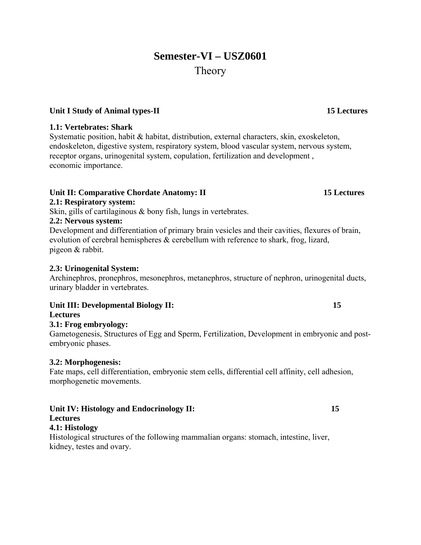## **Semester-VI – USZ0601**  Theory

## Unit I Study of Animal types-II 15 Lectures

### **1.1: Vertebrates: Shark**

Systematic position, habit & habitat, distribution, external characters, skin, exoskeleton, endoskeleton, digestive system, respiratory system, blood vascular system, nervous system, receptor organs, urinogenital system, copulation, fertilization and development , economic importance.

### Unit II: Comparative Chordate Anatomy: II 15 Lectures

## **2.1: Respiratory system:**

Skin, gills of cartilaginous & bony fish, lungs in vertebrates.

## **2.2: Nervous system:**

Development and differentiation of primary brain vesicles and their cavities, flexures of brain, evolution of cerebral hemispheres  $\&$  cerebellum with reference to shark, frog, lizard, pigeon & rabbit.

### **2.3: Urinogenital System:**

Archinephros, pronephros, mesonephros, metanephros, structure of nephron, urinogenital ducts, urinary bladder in vertebrates.

## Unit III: Developmental Biology II: 15

**Lectures** 

### **3.1: Frog embryology:**

Gametogenesis, Structures of Egg and Sperm, Fertilization, Development in embryonic and postembryonic phases.

### **3.2: Morphogenesis:**

Fate maps, cell differentiation, embryonic stem cells, differential cell affinity, cell adhesion, morphogenetic movements.

### Unit IV: Histology and Endocrinology II: 15 **Lectures**

## **4.1: Histology**

Histological structures of the following mammalian organs: stomach, intestine, liver, kidney, testes and ovary.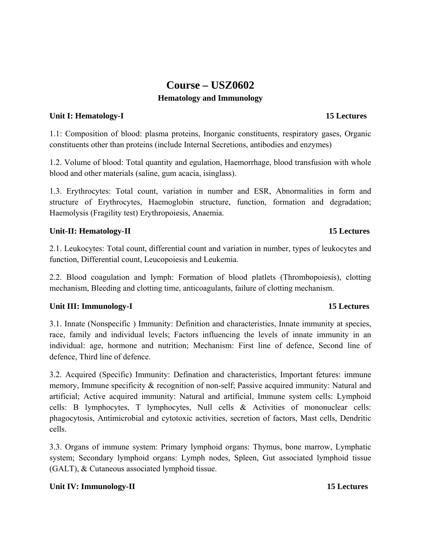## **Course – USZ0602 Hematology and Immunology**

### **Unit I: Hematology-I 15 Lectures 15 Lectures**

1.1: Composition of blood: plasma proteins, Inorganic constituents, respiratory gases, Organic constituents other than proteins (include Internal Secretions, antibodies and enzymes)

1.2. Volume of blood: Total quantity and egulation, Haemorrhage, blood transfusion with whole blood and other materials (saline, gum acacia, isinglass).

1.3. Erythrocytes: Total count, variation in number and ESR, Abnormalities in form and structure of Erythrocytes, Haemoglobin structure, function, formation and degradation; Haemolysis (Fragility test) Erythropoiesis, Anaemia.

## Unit-II: Hematology-II 15 Lectures

2.1. Leukocytes: Total count, differential count and variation in number, types of leukocytes and function, Differential count, Leucopoiesis and Leukemia.

2.2. Blood coagulation and lymph: Formation of blood platlets (Thrombopoiesis), clotting mechanism, Bleeding and clotting time, anticoagulants, failure of clotting mechanism.

## **Unit III: Immunology-I** 15 Lectures

3.1. Innate (Nonspecific ) Immunity: Definition and characteristics, Innate immunity at species, race, family and individual levels; Factors influencing the levels of innate immunity in an individual: age, hormone and nutrition; Mechanism: First line of defence, Second line of defence, Third line of defence.

3.2. Acquired (Specific) Immunity: Defination and characteristics, Important fetures: immune memory, Immune specificity & recognition of non-self; Passive acquired immunity: Natural and artificial; Active acquired immunity: Natural and artificial, Immune system cells: Lymphoid cells: B lymphocytes, T lymphocytes, Null cells & Activities of mononuclear cells: phagocytosis, Antimicrobial and cytotoxic activities, secretion of factors, Mast cells, Dendritic cells.

3.3. Organs of immune system: Primary lymphoid organs: Thymus, bone marrow, Lymphatic system; Secondary lymphoid organs: Lymph nodes, Spleen, Gut associated lymphoid tissue (GALT), & Cutaneous associated lymphoid tissue.

## Unit IV: Immunology-II **15 Lectures**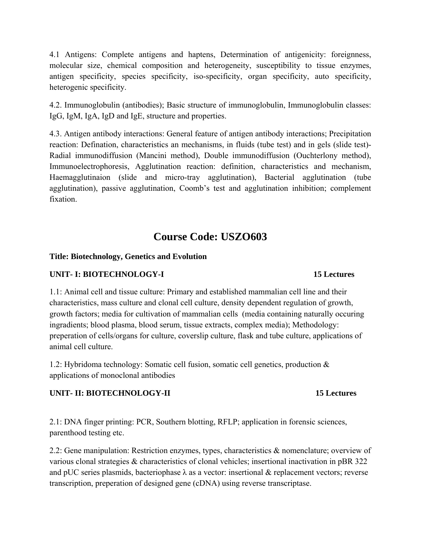4.1 Antigens: Complete antigens and haptens, Determination of antigenicity: foreignness, molecular size, chemical composition and heterogeneity, susceptibility to tissue enzymes, antigen specificity, species specificity, iso-specificity, organ specificity, auto specificity, heterogenic specificity.

4.2. Immunoglobulin (antibodies); Basic structure of immunoglobulin, Immunoglobulin classes: IgG, IgM, IgA, IgD and IgE, structure and properties.

4.3. Antigen antibody interactions: General feature of antigen antibody interactions; Precipitation reaction: Defination, characteristics an mechanisms, in fluids (tube test) and in gels (slide test)- Radial immunodiffusion (Mancini method), Double immunodiffusion (Ouchterlony method), Immunoelectrophoresis, Agglutination reaction: definition, characteristics and mechanism, Haemagglutinaion (slide and micro-tray agglutination), Bacterial agglutination (tube agglutination), passive agglutination, Coomb's test and agglutination inhibition; complement fixation.

## **Course Code: USZO603**

## **Title: Biotechnology, Genetics and Evolution**

## **UNIT- I: BIOTECHNOLOGY-I 15 Lectures**

1.1: Animal cell and tissue culture: Primary and established mammalian cell line and their characteristics, mass culture and clonal cell culture, density dependent regulation of growth, growth factors; media for cultivation of mammalian cells (media containing naturally occuring ingradients; blood plasma, blood serum, tissue extracts, complex media); Methodology: preperation of cells/organs for culture, coverslip culture, flask and tube culture, applications of animal cell culture.

1.2: Hybridoma technology: Somatic cell fusion, somatic cell genetics, production & applications of monoclonal antibodies

## **UNIT- II: BIOTECHNOLOGY-II 15 Lectures**

2.1: DNA finger printing: PCR, Southern blotting, RFLP; application in forensic sciences, parenthood testing etc.

2.2: Gene manipulation: Restriction enzymes, types, characteristics & nomenclature; overview of various clonal strategies & characteristics of clonal vehicles; insertional inactivation in pBR 322 and pUC series plasmids, bacteriophase  $\lambda$  as a vector: insertional & replacement vectors; reverse transcription, preperation of designed gene (cDNA) using reverse transcriptase.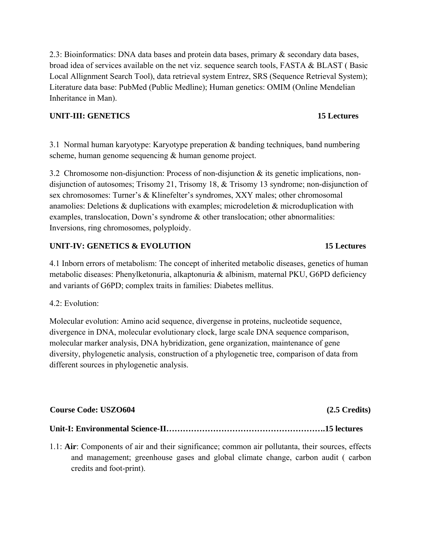2.3: Bioinformatics: DNA data bases and protein data bases, primary & secondary data bases, broad idea of services available on the net viz. sequence search tools, FASTA & BLAST ( Basic Local Allignment Search Tool), data retrieval system Entrez, SRS (Sequence Retrieval System); Literature data base: PubMed (Public Medline); Human genetics: OMIM (Online Mendelian Inheritance in Man).

## **UNIT-III: GENETICS 15 Lectures**

3.1 Normal human karyotype: Karyotype preperation & banding techniques, band numbering scheme, human genome sequencing & human genome project.

3.2 Chromosome non-disjunction: Process of non-disjunction & its genetic implications, nondisjunction of autosomes; Trisomy 21, Trisomy 18, & Trisomy 13 syndrome; non-disjunction of sex chromosomes: Turner's & Klinefelter's syndromes, XXY males; other chromosomal anamolies: Deletions & duplications with examples; microdeletion & microduplication with examples, translocation, Down's syndrome & other translocation; other abnormalities: Inversions, ring chromosomes, polyploidy.

## **UNIT-IV: GENETICS & EVOLUTION 15 Lectures**

4.1 Inborn errors of metabolism: The concept of inherited metabolic diseases, genetics of human metabolic diseases: Phenylketonuria, alkaptonuria & albinism, maternal PKU, G6PD deficiency and variants of G6PD; complex traits in families: Diabetes mellitus.

### 4.2: Evolution:

Molecular evolution: Amino acid sequence, divergense in proteins, nucleotide sequence, divergence in DNA, molecular evolutionary clock, large scale DNA sequence comparison, molecular marker analysis, DNA hybridization, gene organization, maintenance of gene diversity, phylogenetic analysis, construction of a phylogenetic tree, comparison of data from different sources in phylogenetic analysis.

### **Course Code: USZO604 (2.5 Credits)**

## **Unit-I: Environmental Science-II………………………………………………….15 lectures**

1.1: **Air**: Components of air and their significance; common air pollutanta, their sources, effects and management; greenhouse gases and global climate change, carbon audit ( carbon credits and foot-print).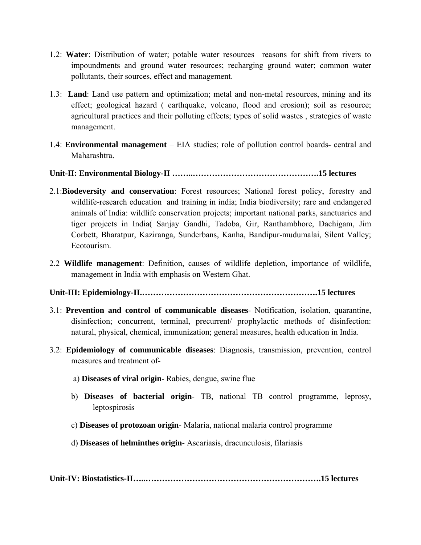- 1.2: **Water**: Distribution of water; potable water resources –reasons for shift from rivers to impoundments and ground water resources; recharging ground water; common water pollutants, their sources, effect and management.
- 1.3: **Land**: Land use pattern and optimization; metal and non-metal resources, mining and its effect; geological hazard ( earthquake, volcano, flood and erosion); soil as resource; agricultural practices and their polluting effects; types of solid wastes , strategies of waste management.
- 1.4: **Environmental management** EIA studies; role of pollution control boards- central and Maharashtra.

## **Unit-II: Environmental Biology-II ……..……………………………………….15 lectures**

- 2.1:**Biodeversity and conservation**: Forest resources; National forest policy, forestry and wildlife-research education and training in india; India biodiversity; rare and endangered animals of India: wildlife conservation projects; important national parks, sanctuaries and tiger projects in India( Sanjay Gandhi, Tadoba, Gir, Ranthambhore, Dachigam, Jim Corbett, Bharatpur, Kaziranga, Sunderbans, Kanha, Bandipur-mudumalai, Silent Valley; Ecotourism.
- 2.2 **Wildlife management**: Definition, causes of wildlife depletion, importance of wildlife, management in India with emphasis on Western Ghat.
- **Unit-III: Epidemiology-II.……………………………………………………….15 lectures**
- 3.1: **Prevention and control of communicable diseases** Notification, isolation, quarantine, disinfection; concurrent, terminal, precurrent/ prophylactic methods of disinfection: natural, physical, chemical, immunization; general measures, health education in India.
- 3.2: **Epidemiology of communicable diseases**: Diagnosis, transmission, prevention, control measures and treatment of
	- a) **Diseases of viral origin** Rabies, dengue, swine flue
	- b) **Diseases of bacterial origin** TB, national TB control programme, leprosy, leptospirosis
	- c) **Diseases of protozoan origin** Malaria, national malaria control programme
	- d) **Diseases of helminthes origin** Ascariasis, dracunculosis, filariasis

**Unit-IV: Biostatistics-II…..……………………………………………………….15 lectures**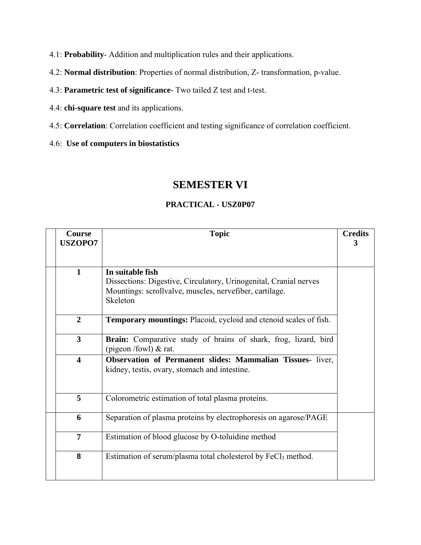4.1: **Probability**- Addition and multiplication rules and their applications.

- 4.2: **Normal distribution**: Properties of normal distribution, Z- transformation, p-value.
- 4.3: **Parametric test of significance** Two tailed Z test and t-test.
- 4.4: **chi-square test** and its applications.
- 4.5: **Correlation**: Correlation coefficient and testing significance of correlation coefficient.

4.6: **Use of computers in biostatistics**

## **SEMESTER VI**

# **Course USZOPO7**  Topic **Credits 3 1 In suitable fish**  Dissections: Digestive, Circulatory, Urinogenital, Cranial nerves Mountings: scrollvalve, muscles, nervefiber, cartilage. Skeleton **2 Temporary mountings:** Placoid, cycloid and ctenoid scales of fish. **3 Brain:** Comparative study of brains of shark, frog, lizard, bird (pigeon /fowl) & rat. **4 Observation of Permanent slides: Mammalian Tissues-** liver, kidney, testis, ovary, stomach and intestine. **5** Colorometric estimation of total plasma proteins. **6** Separation of plasma proteins by electrophoresis on agarose/PAGE **7 Estimation of blood glucose by O-toluidine method 8** Estimation of serum/plasma total cholesterol by FeCl<sub>3</sub> method.

### **PRACTICAL - USZ0P07**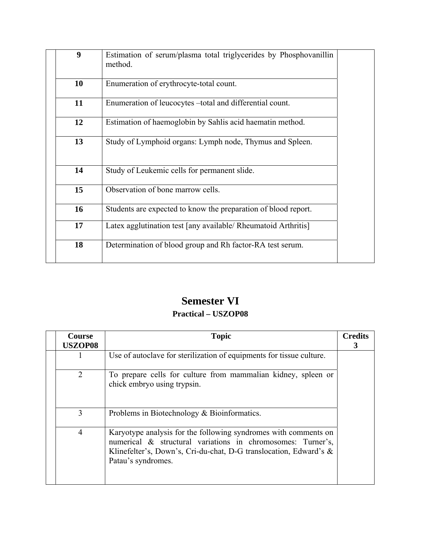| 9                | Estimation of serum/plasma total triglycerides by Phosphovanillin<br>method. |  |
|------------------|------------------------------------------------------------------------------|--|
| 10               | Enumeration of erythrocyte-total count.                                      |  |
| 11               | Enumeration of leucocytes -total and differential count.                     |  |
| 12               | Estimation of haemoglobin by Sahlis acid haematin method.                    |  |
| 13               | Study of Lymphoid organs: Lymph node, Thymus and Spleen.                     |  |
| 14               | Study of Leukemic cells for permanent slide.                                 |  |
| 15 <sup>15</sup> | Observation of bone marrow cells.                                            |  |
| 16               | Students are expected to know the preparation of blood report.               |  |
| 17               | Latex agglutination test [any available/ Rheumatoid Arthritis]               |  |
| 18               | Determination of blood group and Rh factor-RA test serum.                    |  |

## **Semester VI**

## **Practical – USZOP08**

| <b>Course</b><br><b>USZOP08</b> | <b>Topic</b>                                                                                                                                                                                                              | <b>Credits</b><br>3 |
|---------------------------------|---------------------------------------------------------------------------------------------------------------------------------------------------------------------------------------------------------------------------|---------------------|
| 1                               | Use of autoclave for sterilization of equipments for tissue culture.                                                                                                                                                      |                     |
| 2                               | To prepare cells for culture from mammalian kidney, spleen or<br>chick embryo using trypsin.                                                                                                                              |                     |
| 3                               | Problems in Biotechnology $& Bioinformatics.$                                                                                                                                                                             |                     |
| $\overline{4}$                  | Karyotype analysis for the following syndromes with comments on<br>numerical & structural variations in chromosomes: Turner's,<br>Klinefelter's, Down's, Cri-du-chat, D-G translocation, Edward's &<br>Patau's syndromes. |                     |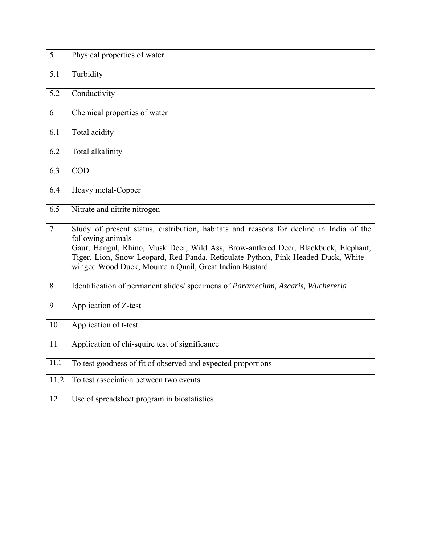| 5              | Physical properties of water                                                                                                                                                                                                                                                                                                                       |
|----------------|----------------------------------------------------------------------------------------------------------------------------------------------------------------------------------------------------------------------------------------------------------------------------------------------------------------------------------------------------|
| 5.1            | Turbidity                                                                                                                                                                                                                                                                                                                                          |
| 5.2            | Conductivity                                                                                                                                                                                                                                                                                                                                       |
| 6              | Chemical properties of water                                                                                                                                                                                                                                                                                                                       |
| 6.1            | Total acidity                                                                                                                                                                                                                                                                                                                                      |
| 6.2            | Total alkalinity                                                                                                                                                                                                                                                                                                                                   |
| 6.3            | <b>COD</b>                                                                                                                                                                                                                                                                                                                                         |
| 6.4            | Heavy metal-Copper                                                                                                                                                                                                                                                                                                                                 |
| 6.5            | Nitrate and nitrite nitrogen                                                                                                                                                                                                                                                                                                                       |
| $\overline{7}$ | Study of present status, distribution, habitats and reasons for decline in India of the<br>following animals<br>Gaur, Hangul, Rhino, Musk Deer, Wild Ass, Brow-antlered Deer, Blackbuck, Elephant,<br>Tiger, Lion, Snow Leopard, Red Panda, Reticulate Python, Pink-Headed Duck, White -<br>winged Wood Duck, Mountain Quail, Great Indian Bustard |
| 8              | Identification of permanent slides/ specimens of Paramecium, Ascaris, Wuchereria                                                                                                                                                                                                                                                                   |
| 9              | Application of Z-test                                                                                                                                                                                                                                                                                                                              |
| 10             | Application of t-test                                                                                                                                                                                                                                                                                                                              |
| 11             | Application of chi-squire test of significance                                                                                                                                                                                                                                                                                                     |
| 11.1           | To test goodness of fit of observed and expected proportions                                                                                                                                                                                                                                                                                       |
| 11.2           | To test association between two events                                                                                                                                                                                                                                                                                                             |
| 12             | Use of spreadsheet program in biostatistics                                                                                                                                                                                                                                                                                                        |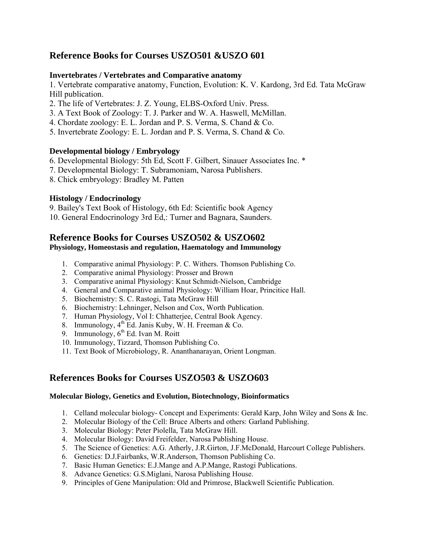## **Reference Books for Courses USZO501 &USZO 601**

### **Invertebrates / Vertebrates and Comparative anatomy**

1. Vertebrate comparative anatomy, Function, Evolution: K. V. Kardong, 3rd Ed. Tata McGraw Hill publication.

- 2. The life of Vertebrates: J. Z. Young, ELBS-Oxford Univ. Press.
- 3. A Text Book of Zoology: T. J. Parker and W. A. Haswell, McMillan.
- 4. Chordate zoology: E. L. Jordan and P. S. Verma, S. Chand & Co.
- 5. Invertebrate Zoology: E. L. Jordan and P. S. Verma, S. Chand & Co.

### **Developmental biology / Embryology**

6. Developmental Biology: 5th Ed, Scott F. Gilbert, Sinauer Associates Inc. \*

- 7. Developmental Biology: T. Subramoniam, Narosa Publishers.
- 8. Chick embryology: Bradley M. Patten

## **Histology / Endocrinology**

9. Bailey's Text Book of Histology, 6th Ed: Scientific book Agency 10. General Endocrinology 3rd Ed,: Turner and Bagnara, Saunders.

# **Reference Books for Courses USZO502 & USZO602**

## **Physiology, Homeostasis and regulation, Haematology and Immunology**

- 1. Comparative animal Physiology: P. C. Withers. Thomson Publishing Co.
- 2. Comparative animal Physiology: Prosser and Brown
- 3. Comparative animal Physiology: Knut Schmidt-Nielson, Cambridge
- 4. General and Comparative animal Physiology: William Hoar, Princitice Hall.
- 5. Biochemistry: S. C. Rastogi, Tata McGraw Hill
- 6. Biochemistry: Lehninger, Nelson and Cox, Worth Publication.
- 7. Human Physiology, Vol I: Chhatterjee, Central Book Agency.
- 8. Immunology, 4<sup>th</sup> Ed. Janis Kuby, W. H. Freeman & Co.
- 9. Immunology,  $6<sup>th</sup>$  Ed. Ivan M. Roitt
- 10. Immunology, Tizzard, Thomson Publishing Co.
- 11. Text Book of Microbiology, R. Ananthanarayan, Orient Longman.

## **References Books for Courses USZO503 & USZO603**

### **Molecular Biology, Genetics and Evolution, Biotechnology, Bioinformatics**

- 1. Celland molecular biology- Concept and Experiments: Gerald Karp, John Wiley and Sons & Inc.
- 2. Molecular Biology of the Cell: Bruce Alberts and others: Garland Publishing.
- 3. Molecular Biology: Peter Piolella, Tata McGraw Hill.
- 4. Molecular Biology: David Freifelder, Narosa Publishing House.
- 5. The Science of Genetics: A.G. Atherly, J.R.Girton, J.F.McDonald, Harcourt College Publishers.
- 6. Genetics: D.J.Fairbanks, W.R.Anderson, Thomson Publishing Co.
- 7. Basic Human Genetics: E.J.Mange and A.P.Mange, Rastogi Publications.
- 8. Advance Genetics: G.S.Miglani, Narosa Publishing House.
- 9. Principles of Gene Manipulation: Old and Primrose, Blackwell Scientific Publication.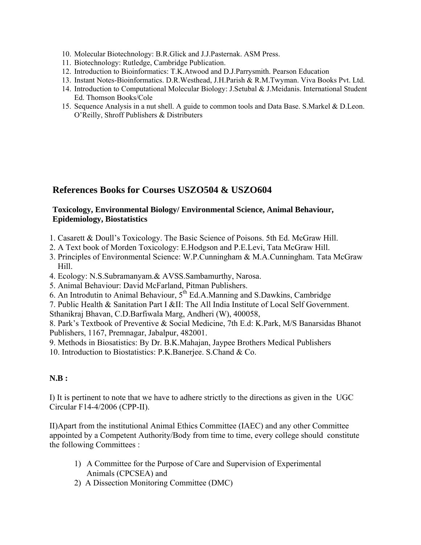- 10. Molecular Biotechnology: B.R.Glick and J.J.Pasternak. ASM Press.
- 11. Biotechnology: Rutledge, Cambridge Publication.
- 12. Introduction to Bioinformatics: T.K.Atwood and D.J.Parrysmith. Pearson Education
- 13. Instant Notes-Bioinformatics. D.R.Westhead, J.H.Parish & R.M.Twyman. Viva Books Pvt. Ltd.
- 14. Introduction to Computational Molecular Biology: J.Setubal & J.Meidanis. International Student Ed. Thomson Books/Cole
- 15. Sequence Analysis in a nut shell. A guide to common tools and Data Base. S.Markel & D.Leon. O'Reilly, Shroff Publishers & Distributers

## **References Books for Courses USZO504 & USZO604**

## **Toxicology, Environmental Biology/ Environmental Science, Animal Behaviour, Epidemiology, Biostatistics**

- 1. Casarett & Doull's Toxicology. The Basic Science of Poisons. 5th Ed. McGraw Hill.
- 2. A Text book of Morden Toxicology: E.Hodgson and P.E.Levi, Tata McGraw Hill.
- 3. Principles of Environmental Science: W.P.Cunningham & M.A.Cunningham. Tata McGraw Hill.
- 4. Ecology: N.S.Subramanyam.& AVSS.Sambamurthy, Narosa.
- 5. Animal Behaviour: David McFarland, Pitman Publishers.
- 6. An Introdutin to Animal Behaviour,  $5^{th}$  Ed.A.Manning and S.Dawkins, Cambridge
- 7. Public Health & Sanitation Part I &II: The All India Institute of Local Self Government.

Sthanikraj Bhavan, C.D.Barfiwala Marg, Andheri (W), 400058,

8. Park's Textbook of Preventive & Social Medicine, 7th E.d: K.Park, M/S Banarsidas Bhanot Publishers, 1167, Premnagar, Jabalpur, 482001.

- 9. Methods in Biosatistics: By Dr. B.K.Mahajan, Jaypee Brothers Medical Publishers
- 10. Introduction to Biostatistics: P.K.Banerjee. S.Chand & Co.

## **N.B :**

I) It is pertinent to note that we have to adhere strictly to the directions as given in the UGC Circular F14-4/2006 (CPP-II).

II)Apart from the institutional Animal Ethics Committee (IAEC) and any other Committee appointed by a Competent Authority/Body from time to time, every college should constitute the following Committees :

- 1) A Committee for the Purpose of Care and Supervision of Experimental Animals (CPCSEA) and
- 2) A Dissection Monitoring Committee (DMC)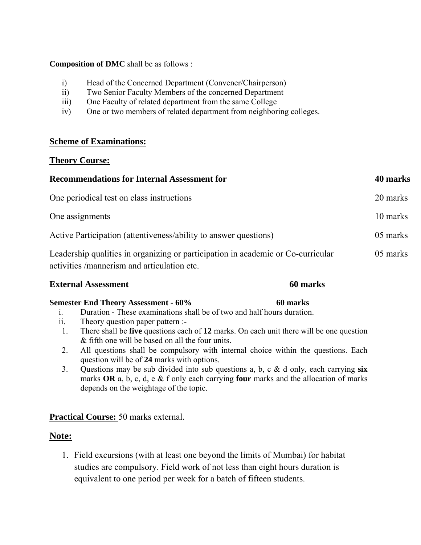### **Composition of DMC** shall be as follows :

- i) Head of the Concerned Department (Convener/Chairperson)
- ii) Two Senior Faculty Members of the concerned Department
- iii) One Faculty of related department from the same College
- iv) One or two members of related department from neighboring colleges.

## **Scheme of Examinations:**

## **Theory Course:**

| <b>Recommendations for Internal Assessment for</b>                                                                              | 40 marks |
|---------------------------------------------------------------------------------------------------------------------------------|----------|
| One periodical test on class instructions                                                                                       | 20 marks |
| One assignments                                                                                                                 | 10 marks |
| Active Participation (attentiveness/ability to answer questions)                                                                | 05 marks |
| Leadership qualities in organizing or participation in academic or Co-curricular<br>activities /mannerism and articulation etc. | 05 marks |

## **External Assessment** 60 marks **60 marks**

## **Semester End Theory Assessment - 60% 60 marks**

## i. Duration - These examinations shall be of two and half hours duration.

- ii. Theory question paper pattern :-
- 1. There shall be **five** questions each of **12** marks. On each unit there will be one question & fifth one will be based on all the four units.
- 2. All questions shall be compulsory with internal choice within the questions. Each question will be of **24** marks with options.
- 3. Questions may be sub divided into sub questions a, b, c & d only, each carrying **six** marks **OR** a, b, c, d, e & f only each carrying **four** marks and the allocation of marks depends on the weightage of the topic.

## **Practical Course:** 50 marks external.

## **Note:**

1. Field excursions (with at least one beyond the limits of Mumbai) for habitat studies are compulsory. Field work of not less than eight hours duration is equivalent to one period per week for a batch of fifteen students.